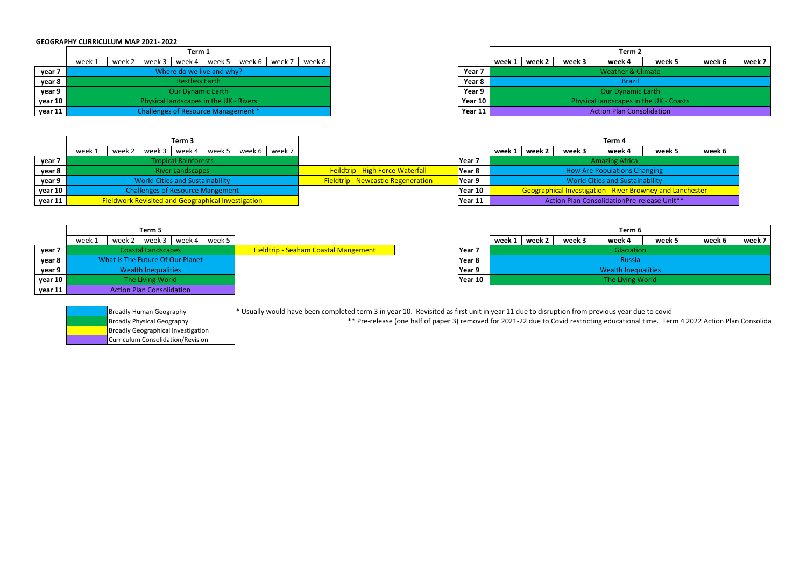|         |                                        | Term 1                    |        |          |        |        |        |        |  |  |
|---------|----------------------------------------|---------------------------|--------|----------|--------|--------|--------|--------|--|--|
|         | week 1                                 | week 2                    | week 3 | week 4 l | week 5 | week 6 | week 7 | week 8 |  |  |
| year 7  |                                        | Where do we live and why? |        |          |        |        |        |        |  |  |
| year 8  | <b>Restless Earth</b>                  |                           |        |          |        |        |        |        |  |  |
| year 9  | <b>Our Dynamic Earth</b>               |                           |        |          |        |        |        |        |  |  |
| year 10 | Physical landscapes in the UK - Rivers |                           |        |          |        |        |        |        |  |  |
| year 11 | Challenges of Resource Management *    |                           |        |          |        |        |        |        |  |  |

| * Usually would have been completed term 3 in year 10. Revisited as first unit in year 11 due to disruption from previous year due to covid |
|---------------------------------------------------------------------------------------------------------------------------------------------|
| ** Pre-release (one half of paper 3) removed for 2021-22 due to Covid restricting educational time. Terr                                    |

| <b>Broadly Human Geography</b>            |  |  |  |  |  |
|-------------------------------------------|--|--|--|--|--|
| <b>Broadly Physical Geography</b>         |  |  |  |  |  |
| <b>Broadly Geographical Investigation</b> |  |  |  |  |  |
| Curriculum Consolidation/Revision         |  |  |  |  |  |

ducational time. Term 4 2022 Action Plan Consolida

## **GEOGRAPHY CURRICULUM MAP 2021‐ 2022**

| Term 1                                 |        |                |  |  |                          |          |        |         |        | Term 2                                 |        |        |        |        |        |
|----------------------------------------|--------|----------------|--|--|--------------------------|----------|--------|---------|--------|----------------------------------------|--------|--------|--------|--------|--------|
| week 1                                 | week 2 | week 3 $\vert$ |  |  | week 4   week 5   week 6 | I week 7 | week 8 |         | week 1 | week 2                                 | week 3 | week 4 | week 5 | week 6 | week 7 |
| Where do we live and why?              |        |                |  |  |                          |          |        | Year 7  |        | <b>Weather &amp; Climate</b>           |        |        |        |        |        |
| <b>Restless Earth</b>                  |        |                |  |  |                          |          |        | Year 8  |        | <b>Brazil</b>                          |        |        |        |        |        |
| <b>Our Dynamic Earth</b>               |        |                |  |  |                          |          |        | Year 9  |        | <b>Our Dynamic Earth</b>               |        |        |        |        |        |
| Physical landscapes in the UK - Rivers |        |                |  |  |                          |          |        | Year 10 |        | Physical landscapes in the UK - Coasts |        |        |        |        |        |
| Challenges of Resource Management *    |        |                |  |  |                          |          |        | Year 11 |        | <b>Action Plan Consolidation</b>       |        |        |        |        |        |

|         |                                  |        | Term 5 |        |        |                                             |                   |            |        |        | Term 6               |  |
|---------|----------------------------------|--------|--------|--------|--------|---------------------------------------------|-------------------|------------|--------|--------|----------------------|--|
|         | week 1                           | week 2 | week 3 | week 4 | week 5 |                                             |                   | week 1     | week 2 | week 3 | week 4               |  |
| year 7  | <b>Coastal Landscapes</b>        |        |        |        |        | <b>Fieldtrip - Seaham Coastal Mangement</b> | Year <sub>7</sub> | Glaciation |        |        |                      |  |
| year 8  | What Is The Future Of Our Planet |        |        |        |        |                                             | Year 8            |            |        |        | Russia               |  |
| year 9  | <b>Wealth Inequalities</b>       |        |        |        |        |                                             | Year 9            |            |        |        | <b>Wealth Inequa</b> |  |
| year 10 | The Living World                 |        |        |        |        |                                             | Year 10           |            |        |        | The Living W         |  |
| year 11 | <b>Action Plan Consolidation</b> |        |        |        |        |                                             |                   |            |        |        |                      |  |

|         | Term 3                                                             |                                           |                   | Term 4                                                           |                                        |        |        |        |        |  |  |
|---------|--------------------------------------------------------------------|-------------------------------------------|-------------------|------------------------------------------------------------------|----------------------------------------|--------|--------|--------|--------|--|--|
|         | week 5   week 6  <br>week 7<br>week 2   week 3<br>week 4<br>week 1 |                                           |                   | week 1                                                           | week 2                                 | week 3 | week 4 | week 5 | week 6 |  |  |
| year 7  | <b>Tropical Rainforests</b>                                        |                                           | Year <sub>7</sub> | <b>Amazing Africa</b>                                            |                                        |        |        |        |        |  |  |
| year 8  | <b>River Landscapes</b>                                            | <b>Feildtrip - High Force Waterfall</b>   | Year 8            | <b>How Are Populations Changing</b>                              |                                        |        |        |        |        |  |  |
| year 9  | <b>World Cities and Sustainability</b>                             | <b>Fieldtrip - Newcastle Regeneration</b> | Year 9            |                                                                  | <b>World Cities and Sustainability</b> |        |        |        |        |  |  |
| year 10 | <b>Challenges of Resource Mangement</b>                            |                                           | Year 10           | <b>Geographical Investigation - River Browney and Lanchester</b> |                                        |        |        |        |        |  |  |
| year 11 | <b>Fieldwork Revisited and Geographical Investigation</b>          |                                           | Year 11           | Action Plan ConsolidationPre-release Unit**                      |                                        |        |        |        |        |  |  |

| Term 5                                        |                                             |         | Term 6                     |        |        |        |        |        |        |  |
|-----------------------------------------------|---------------------------------------------|---------|----------------------------|--------|--------|--------|--------|--------|--------|--|
| week $3$<br>week 1<br>week 2<br>week 4 veek 5 |                                             |         | week 1                     | week 2 | week 3 | week 4 | week 5 | week 6 | week 7 |  |
| <b>Coastal Landscapes</b>                     | <b>Fieldtrip - Seaham Coastal Mangement</b> | Year 7  | Glaciation                 |        |        |        |        |        |        |  |
| What Is The Future Of Our Planet              |                                             | Year 8  | Russia                     |        |        |        |        |        |        |  |
| <b>Wealth Inequalities</b>                    |                                             | Year 9  | <b>Wealth Inequalities</b> |        |        |        |        |        |        |  |
| The Living World                              |                                             | Year 10 | The Living World           |        |        |        |        |        |        |  |